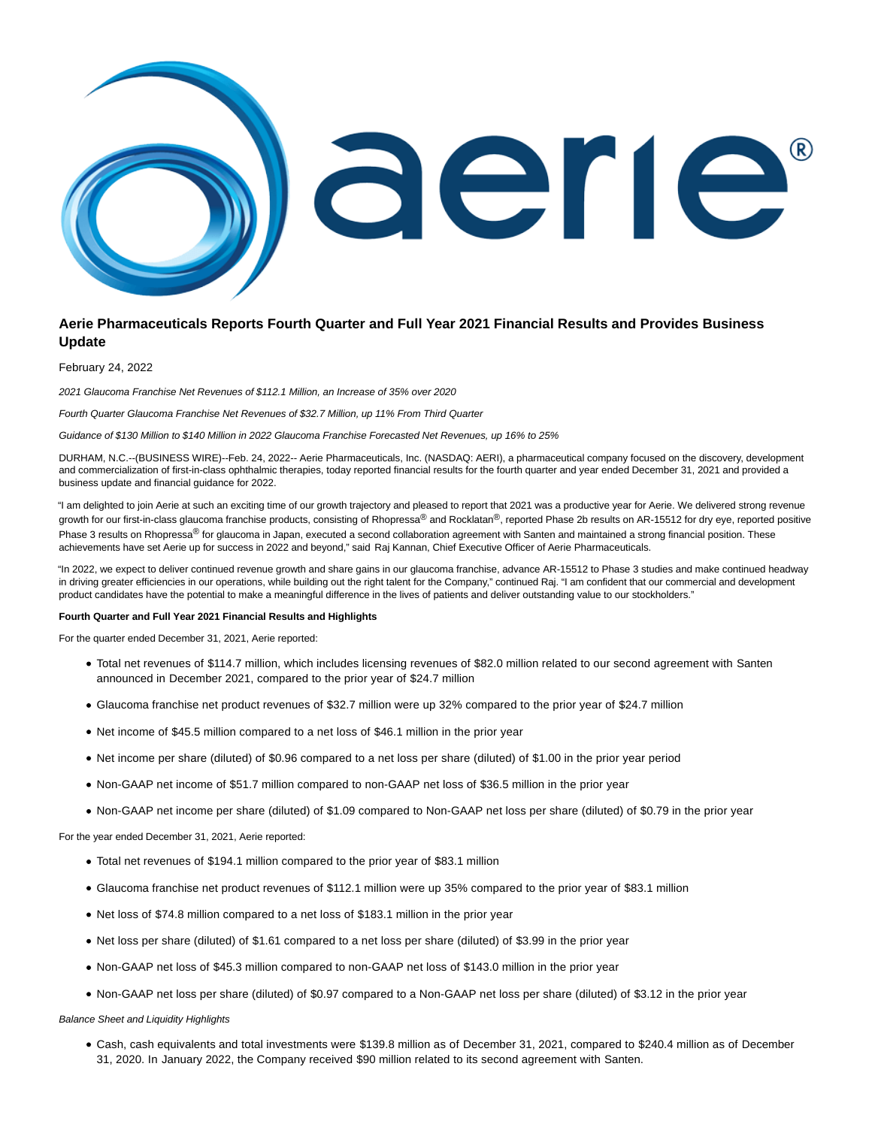

# **Aerie Pharmaceuticals Reports Fourth Quarter and Full Year 2021 Financial Results and Provides Business Update**

February 24, 2022

2021 Glaucoma Franchise Net Revenues of \$112.1 Million, an Increase of 35% over 2020

Fourth Quarter Glaucoma Franchise Net Revenues of \$32.7 Million, up 11% From Third Quarter

Guidance of \$130 Million to \$140 Million in 2022 Glaucoma Franchise Forecasted Net Revenues, up 16% to 25%

DURHAM, N.C.--(BUSINESS WIRE)--Feb. 24, 2022-- Aerie Pharmaceuticals, Inc. (NASDAQ: AERI), a pharmaceutical company focused on the discovery, development and commercialization of first-in-class ophthalmic therapies, today reported financial results for the fourth quarter and year ended December 31, 2021 and provided a business update and financial guidance for 2022.

"I am delighted to join Aerie at such an exciting time of our growth trajectory and pleased to report that 2021 was a productive year for Aerie. We delivered strong revenue growth for our first-in-class glaucoma franchise products, consisting of Rhopressa® and Rocklatan®, reported Phase 2b results on AR-15512 for dry eye, reported positive Phase 3 results on Rhopressa<sup>®</sup> for glaucoma in Japan, executed a second collaboration agreement with Santen and maintained a strong financial position. These achievements have set Aerie up for success in 2022 and beyond," said Raj Kannan, Chief Executive Officer of Aerie Pharmaceuticals.

"In 2022, we expect to deliver continued revenue growth and share gains in our glaucoma franchise, advance AR-15512 to Phase 3 studies and make continued headway in driving greater efficiencies in our operations, while building out the right talent for the Company," continued Raj. "I am confident that our commercial and development product candidates have the potential to make a meaningful difference in the lives of patients and deliver outstanding value to our stockholders."

### **Fourth Quarter and Full Year 2021 Financial Results and Highlights**

For the quarter ended December 31, 2021, Aerie reported:

- Total net revenues of \$114.7 million, which includes licensing revenues of \$82.0 million related to our second agreement with Santen announced in December 2021, compared to the prior year of \$24.7 million
- Glaucoma franchise net product revenues of \$32.7 million were up 32% compared to the prior year of \$24.7 million
- Net income of \$45.5 million compared to a net loss of \$46.1 million in the prior year
- Net income per share (diluted) of \$0.96 compared to a net loss per share (diluted) of \$1.00 in the prior year period
- Non-GAAP net income of \$51.7 million compared to non-GAAP net loss of \$36.5 million in the prior year
- Non-GAAP net income per share (diluted) of \$1.09 compared to Non-GAAP net loss per share (diluted) of \$0.79 in the prior year

For the year ended December 31, 2021, Aerie reported:

- Total net revenues of \$194.1 million compared to the prior year of \$83.1 million
- Glaucoma franchise net product revenues of \$112.1 million were up 35% compared to the prior year of \$83.1 million
- Net loss of \$74.8 million compared to a net loss of \$183.1 million in the prior year
- Net loss per share (diluted) of \$1.61 compared to a net loss per share (diluted) of \$3.99 in the prior year
- Non-GAAP net loss of \$45.3 million compared to non-GAAP net loss of \$143.0 million in the prior year
- Non-GAAP net loss per share (diluted) of \$0.97 compared to a Non-GAAP net loss per share (diluted) of \$3.12 in the prior year

Balance Sheet and Liquidity Highlights

Cash, cash equivalents and total investments were \$139.8 million as of December 31, 2021, compared to \$240.4 million as of December 31, 2020. In January 2022, the Company received \$90 million related to its second agreement with Santen.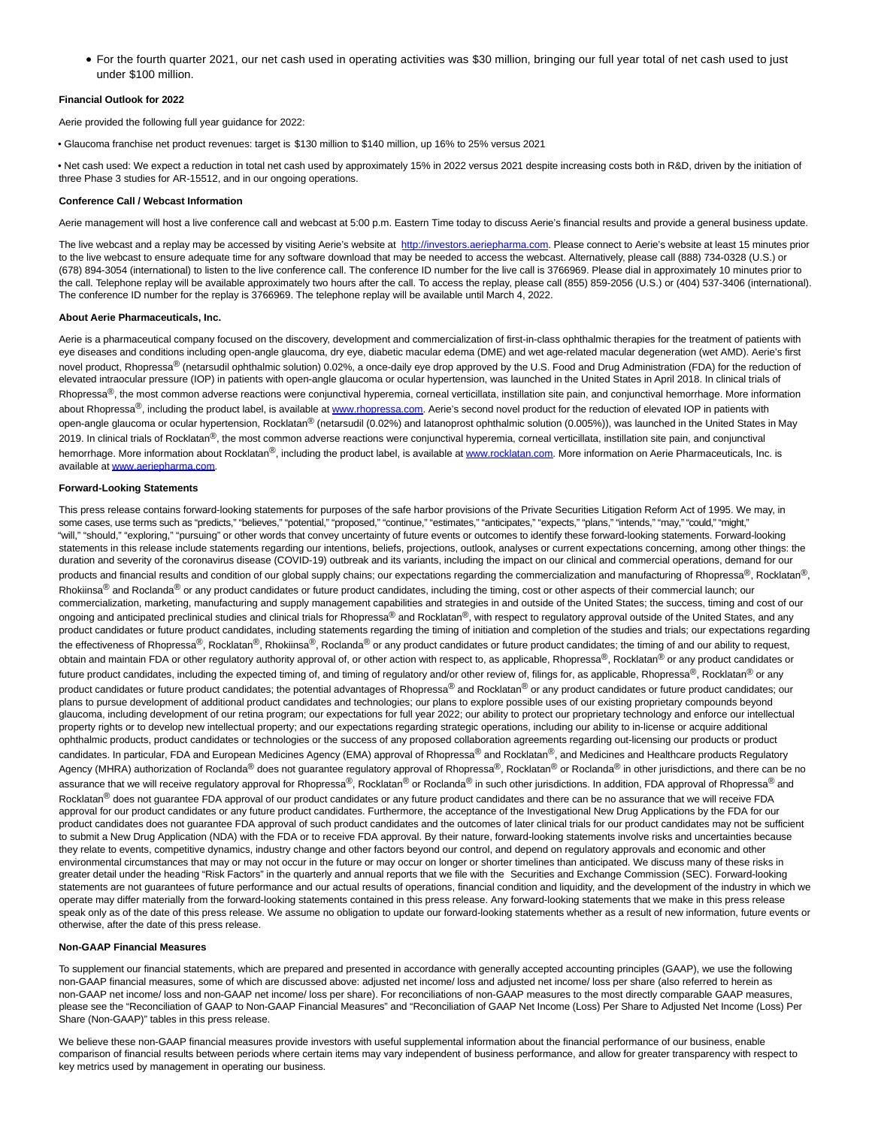For the fourth quarter 2021, our net cash used in operating activities was \$30 million, bringing our full year total of net cash used to just under \$100 million.

### **Financial Outlook for 2022**

Aerie provided the following full year guidance for 2022:

• Glaucoma franchise net product revenues: target is \$130 million to \$140 million, up 16% to 25% versus 2021

• Net cash used: We expect a reduction in total net cash used by approximately 15% in 2022 versus 2021 despite increasing costs both in R&D, driven by the initiation of three Phase 3 studies for AR-15512, and in our ongoing operations.

#### **Conference Call / Webcast Information**

Aerie management will host a live conference call and webcast at 5:00 p.m. Eastern Time today to discuss Aerie's financial results and provide a general business update.

The live webcast and a replay may be accessed by visiting Aerie's website at [http://investors.aeriepharma.com.](https://cts.businesswire.com/ct/CT?id=smartlink&url=http%3A%2F%2Finvestors.aeriepharma.com&esheet=52584864&newsitemid=20220224005389&lan=en-US&anchor=http%3A%2F%2Finvestors.aeriepharma.com&index=1&md5=6d4a02557198b2310ca894c8bde58c26) Please connect to Aerie's website at least 15 minutes prior to the live webcast to ensure adequate time for any software download that may be needed to access the webcast. Alternatively, please call (888) 734-0328 (U.S.) or (678) 894-3054 (international) to listen to the live conference call. The conference ID number for the live call is 3766969. Please dial in approximately 10 minutes prior to the call. Telephone replay will be available approximately two hours after the call. To access the replay, please call (855) 859-2056 (U.S.) or (404) 537-3406 (international). The conference ID number for the replay is 3766969. The telephone replay will be available until March 4, 2022.

#### **About Aerie Pharmaceuticals, Inc.**

Aerie is a pharmaceutical company focused on the discovery, development and commercialization of first-in-class ophthalmic therapies for the treatment of patients with eye diseases and conditions including open-angle glaucoma, dry eye, diabetic macular edema (DME) and wet age-related macular degeneration (wet AMD). Aerie's first novel product, Rhopressa® (netarsudil ophthalmic solution) 0.02%, a once-daily eye drop approved by the U.S. Food and Drug Administration (FDA) for the reduction of elevated intraocular pressure (IOP) in patients with open-angle glaucoma or ocular hypertension, was launched in the United States in April 2018. In clinical trials of Rhopressa<sup>®</sup>, the most common adverse reactions were conjunctival hyperemia, corneal verticillata, instillation site pain, and conjunctival hemorrhage. More information about Rhopressa®, including the product label, is available at [www.rhopressa.com.](https://cts.businesswire.com/ct/CT?id=smartlink&url=http%3A%2F%2Fwww.rhopressa.com&esheet=52584864&newsitemid=20220224005389&lan=en-US&anchor=www.rhopressa.com&index=2&md5=871bcbc9c99c2387a5db442c54c5fb6f) Aerie's second novel product for the reduction of elevated IOP in patients with open-angle glaucoma or ocular hypertension, Rocklatan<sup>®</sup> (netarsudil (0.02%) and latanoprost ophthalmic solution (0.005%)), was launched in the United States in May 2019. In clinical trials of Rocklatan<sup>®</sup>, the most common adverse reactions were conjunctival hyperemia, corneal verticillata, instillation site pain, and conjunctival hemorrhage. More information about Rocklatan®, including the product label, is available a[t www.rocklatan.com.](https://cts.businesswire.com/ct/CT?id=smartlink&url=http%3A%2F%2Fwww.rocklatan.com&esheet=52584864&newsitemid=20220224005389&lan=en-US&anchor=www.rocklatan.com&index=3&md5=e42fc31aaed9c236e66f39614af67356) More information on Aerie Pharmaceuticals, Inc. is available at [www.aeriepharma.com.](https://cts.businesswire.com/ct/CT?id=smartlink&url=http%3A%2F%2Fwww.aeriepharma.com&esheet=52584864&newsitemid=20220224005389&lan=en-US&anchor=www.aeriepharma.com&index=4&md5=a5a9d06290966ab497fc3a4f8dd60d8c)

### **Forward-Looking Statements**

This press release contains forward-looking statements for purposes of the safe harbor provisions of the Private Securities Litigation Reform Act of 1995. We may, in some cases, use terms such as "predicts," "believes," "potential," "proposed," "continue," "estimates," "anticipates," "expects," "plans," "intends," "may," "could," "might," "will," "should," "exploring," "pursuing" or other words that convey uncertainty of future events or outcomes to identify these forward-looking statements. Forward-looking statements in this release include statements regarding our intentions, beliefs, projections, outlook, analyses or current expectations concerning, among other things: the duration and severity of the coronavirus disease (COVID-19) outbreak and its variants, including the impact on our clinical and commercial operations, demand for our products and financial results and condition of our global supply chains; our expectations regarding the commercialization and manufacturing of Rhopressa®, Rocklatan®, Rhokiinsa<sup>®</sup> and Roclanda<sup>®</sup> or any product candidates or future product candidates, including the timing, cost or other aspects of their commercial launch; our commercialization, marketing, manufacturing and supply management capabilities and strategies in and outside of the United States; the success, timing and cost of our ongoing and anticipated preclinical studies and clinical trials for Rhopressa® and Rocklatan®, with respect to regulatory approval outside of the United States, and any product candidates or future product candidates, including statements regarding the timing of initiation and completion of the studies and trials; our expectations regarding the effectiveness of Rhopressa®, Rocklatan®, Rhokiinsa®, Roclanda® or any product candidates or future product candidates; the timing of and our ability to request, obtain and maintain FDA or other regulatory authority approval of, or other action with respect to, as applicable, Rhopressa®, Rocklatan® or any product candidates or future product candidates, including the expected timing of, and timing of regulatory and/or other review of, filings for, as applicable, Rhopressa®, Rocklatan® or any product candidates or future product candidates; the potential advantages of Rhopressa® and Rocklatan® or any product candidates or future product candidates; our plans to pursue development of additional product candidates and technologies; our plans to explore possible uses of our existing proprietary compounds beyond glaucoma, including development of our retina program; our expectations for full year 2022; our ability to protect our proprietary technology and enforce our intellectual property rights or to develop new intellectual property; and our expectations regarding strategic operations, including our ability to in-license or acquire additional ophthalmic products, product candidates or technologies or the success of any proposed collaboration agreements regarding out-licensing our products or product candidates. In particular, FDA and European Medicines Agency (EMA) approval of Rhopressa® and Rocklatan®, and Medicines and Healthcare products Regulatory Agency (MHRA) authorization of Roclanda<sup>®</sup> does not guarantee regulatory approval of Rhopressa<sup>®</sup>, Rocklatan<sup>®</sup> or Roclanda<sup>®</sup> in other jurisdictions, and there can be no assurance that we will receive regulatory approval for Rhopressa®, Rocklatan® or Roclanda<sup>®</sup> in such other jurisdictions. In addition, FDA approval of Rhopressa® and Rocklatan<sup>®</sup> does not guarantee FDA approval of our product candidates or any future product candidates and there can be no assurance that we will receive FDA approval for our product candidates or any future product candidates. Furthermore, the acceptance of the Investigational New Drug Applications by the FDA for our product candidates does not guarantee FDA approval of such product candidates and the outcomes of later clinical trials for our product candidates may not be sufficient to submit a New Drug Application (NDA) with the FDA or to receive FDA approval. By their nature, forward-looking statements involve risks and uncertainties because they relate to events, competitive dynamics, industry change and other factors beyond our control, and depend on regulatory approvals and economic and other environmental circumstances that may or may not occur in the future or may occur on longer or shorter timelines than anticipated. We discuss many of these risks in greater detail under the heading "Risk Factors" in the quarterly and annual reports that we file with the Securities and Exchange Commission (SEC). Forward-looking statements are not guarantees of future performance and our actual results of operations, financial condition and liquidity, and the development of the industry in which we operate may differ materially from the forward-looking statements contained in this press release. Any forward-looking statements that we make in this press release speak only as of the date of this press release. We assume no obligation to update our forward-looking statements whether as a result of new information, future events or otherwise, after the date of this press release.

#### **Non-GAAP Financial Measures**

To supplement our financial statements, which are prepared and presented in accordance with generally accepted accounting principles (GAAP), we use the following non-GAAP financial measures, some of which are discussed above: adjusted net income/ loss and adjusted net income/ loss per share (also referred to herein as non-GAAP net income/ loss and non-GAAP net income/ loss per share). For reconciliations of non-GAAP measures to the most directly comparable GAAP measures, please see the "Reconciliation of GAAP to Non-GAAP Financial Measures" and "Reconciliation of GAAP Net Income (Loss) Per Share to Adjusted Net Income (Loss) Per Share (Non-GAAP)" tables in this press release.

We believe these non-GAAP financial measures provide investors with useful supplemental information about the financial performance of our business, enable comparison of financial results between periods where certain items may vary independent of business performance, and allow for greater transparency with respect to key metrics used by management in operating our business.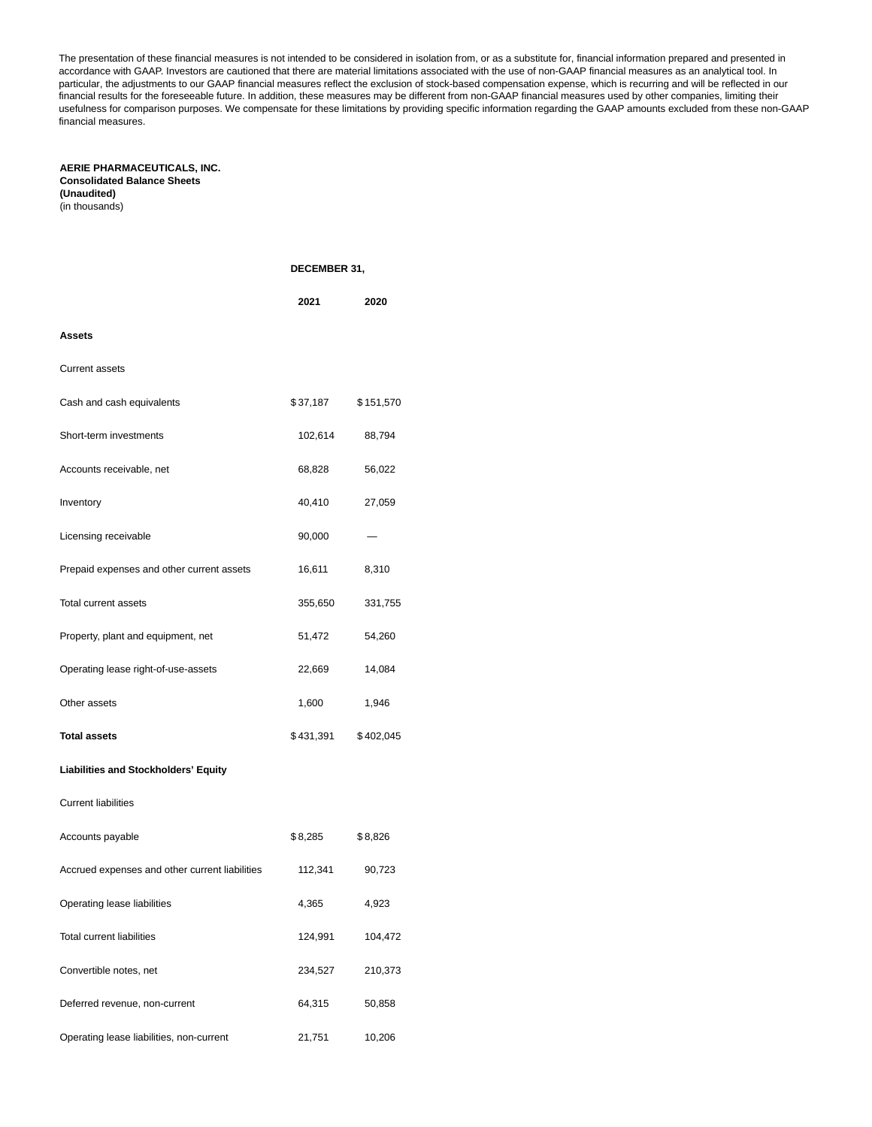The presentation of these financial measures is not intended to be considered in isolation from, or as a substitute for, financial information prepared and presented in accordance with GAAP. Investors are cautioned that there are material limitations associated with the use of non-GAAP financial measures as an analytical tool. In particular, the adjustments to our GAAP financial measures reflect the exclusion of stock-based compensation expense, which is recurring and will be reflected in our financial results for the foreseeable future. In addition, these measures may be different from non-GAAP financial measures used by other companies, limiting their usefulness for comparison purposes. We compensate for these limitations by providing specific information regarding the GAAP amounts excluded from these non-GAAP financial measures.

## **AERIE PHARMACEUTICALS, INC. Consolidated Balance Sheets (Unaudited)**

(in thousands)

|                                                | <b>DECEMBER 31,</b> |           |  |
|------------------------------------------------|---------------------|-----------|--|
|                                                | 2021                | 2020      |  |
| Assets                                         |                     |           |  |
| <b>Current assets</b>                          |                     |           |  |
| Cash and cash equivalents                      | \$37,187            | \$151,570 |  |
| Short-term investments                         | 102,614             | 88,794    |  |
| Accounts receivable, net                       | 68,828              | 56,022    |  |
| Inventory                                      | 40,410              | 27,059    |  |
| Licensing receivable                           | 90,000              |           |  |
| Prepaid expenses and other current assets      | 16,611              | 8,310     |  |
| Total current assets                           | 355,650             | 331,755   |  |
| Property, plant and equipment, net             | 51,472              | 54,260    |  |
| Operating lease right-of-use-assets            | 22,669              | 14,084    |  |
| Other assets                                   | 1,600               | 1,946     |  |
| <b>Total assets</b>                            | \$431,391           | \$402,045 |  |
| Liabilities and Stockholders' Equity           |                     |           |  |
| <b>Current liabilities</b>                     |                     |           |  |
| Accounts payable                               | \$8,285             | \$8,826   |  |
| Accrued expenses and other current liabilities | 112,341             | 90,723    |  |
| Operating lease liabilities                    | 4,365               | 4,923     |  |
| <b>Total current liabilities</b>               | 124,991             | 104,472   |  |
| Convertible notes, net                         | 234,527             | 210,373   |  |
| Deferred revenue, non-current                  | 64,315              | 50,858    |  |
| Operating lease liabilities, non-current       | 21,751              | 10,206    |  |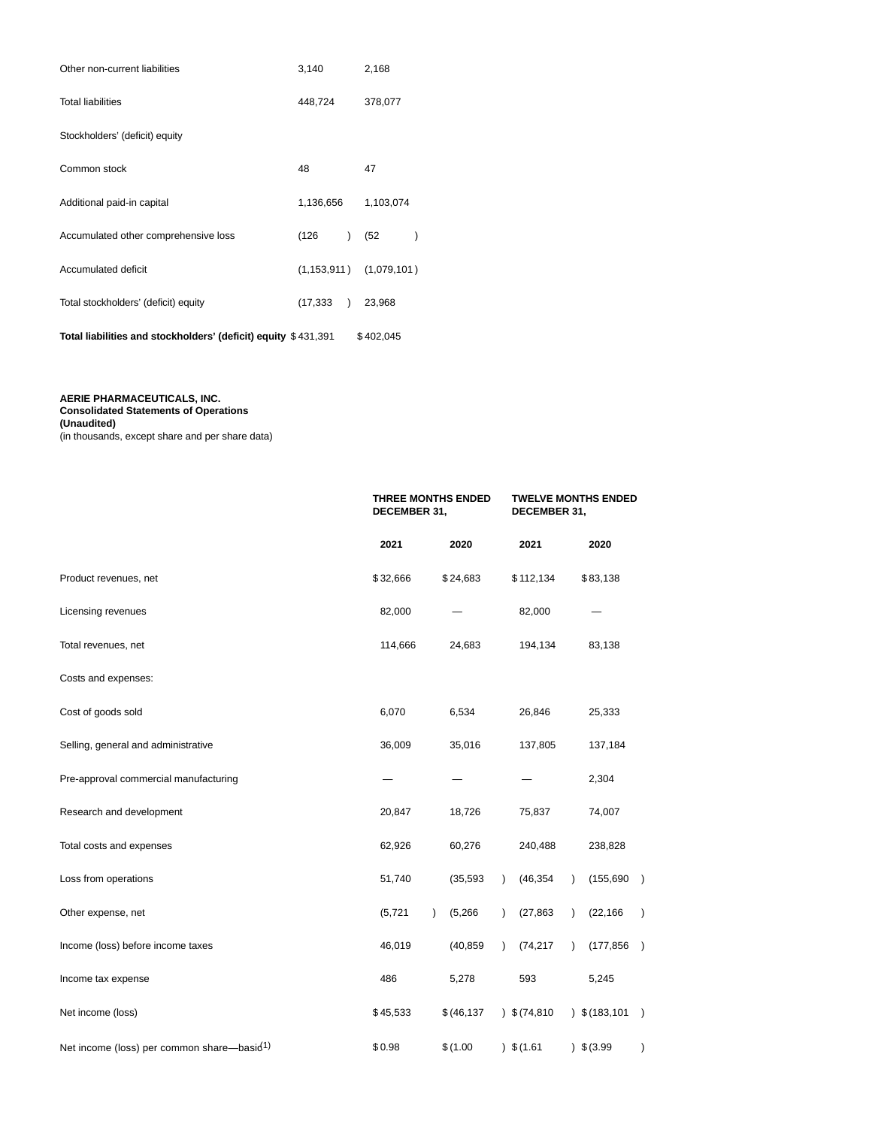| Other non-current liabilities                                  | 3,140     |           | 2,168                       |   |
|----------------------------------------------------------------|-----------|-----------|-----------------------------|---|
| <b>Total liabilities</b>                                       | 448,724   |           | 378,077                     |   |
| Stockholders' (deficit) equity                                 |           |           |                             |   |
| Common stock                                                   | 48        |           | 47                          |   |
| Additional paid-in capital                                     | 1,136,656 |           | 1,103,074                   |   |
| Accumulated other comprehensive loss                           | (126      | $\lambda$ | (52)                        | ⟩ |
| Accumulated deficit                                            |           |           | $(1,153,911)$ $(1,079,101)$ |   |
| Total stockholders' (deficit) equity                           | (17, 333) |           | 23,968                      |   |
| Total liabilities and stockholders' (deficit) equity \$431,391 |           |           | \$402,045                   |   |

#### **AERIE PHARMACEUTICALS, INC.**

**Consolidated Statements of Operations**

**(Unaudited)**

(in thousands, except share and per share data)

|                                                        | <b>THREE MONTHS ENDED</b><br>DECEMBER 31, |                      | <b>TWELVE MONTHS ENDED</b><br>DECEMBER 31, |                                          |
|--------------------------------------------------------|-------------------------------------------|----------------------|--------------------------------------------|------------------------------------------|
|                                                        | 2021                                      | 2020                 | 2021                                       | 2020                                     |
| Product revenues, net                                  | \$32,666                                  | \$24,683             | \$112,134                                  | \$83,138                                 |
| Licensing revenues                                     | 82,000                                    |                      | 82,000                                     |                                          |
| Total revenues, net                                    | 114,666                                   | 24,683               | 194,134                                    | 83,138                                   |
| Costs and expenses:                                    |                                           |                      |                                            |                                          |
| Cost of goods sold                                     | 6,070                                     | 6,534                | 26,846                                     | 25,333                                   |
| Selling, general and administrative                    | 36,009                                    | 35,016               | 137,805                                    | 137,184                                  |
| Pre-approval commercial manufacturing                  |                                           |                      |                                            | 2,304                                    |
| Research and development                               | 20,847                                    | 18,726               | 75,837                                     | 74,007                                   |
| Total costs and expenses                               | 62,926                                    | 60,276               | 240,488                                    | 238,828                                  |
| Loss from operations                                   | 51,740                                    | (35, 593)            | (46, 354)<br>$\lambda$                     | (155, 690)<br>$\rightarrow$              |
| Other expense, net                                     | (5, 721)                                  | (5,266)<br>$\lambda$ | (27, 863)<br>$\lambda$                     | (22, 166)<br>$\lambda$                   |
| Income (loss) before income taxes                      | 46,019                                    | (40, 859)            | (74, 217)<br>$\lambda$                     | (177, 856)<br>$\rightarrow$<br>$\lambda$ |
| Income tax expense                                     | 486                                       | 5,278                | 593                                        | 5,245                                    |
| Net income (loss)                                      | \$45,533                                  | \$ (46, 137)         | 3(74,810)                                  | $)$ \$ (183,101<br>$\lambda$             |
| Net income (loss) per common share-basid <sup>1)</sup> | \$0.98                                    | \$(1.00              | $)$ \$ (1.61                               | 3.99<br>$\mathcal{C}$                    |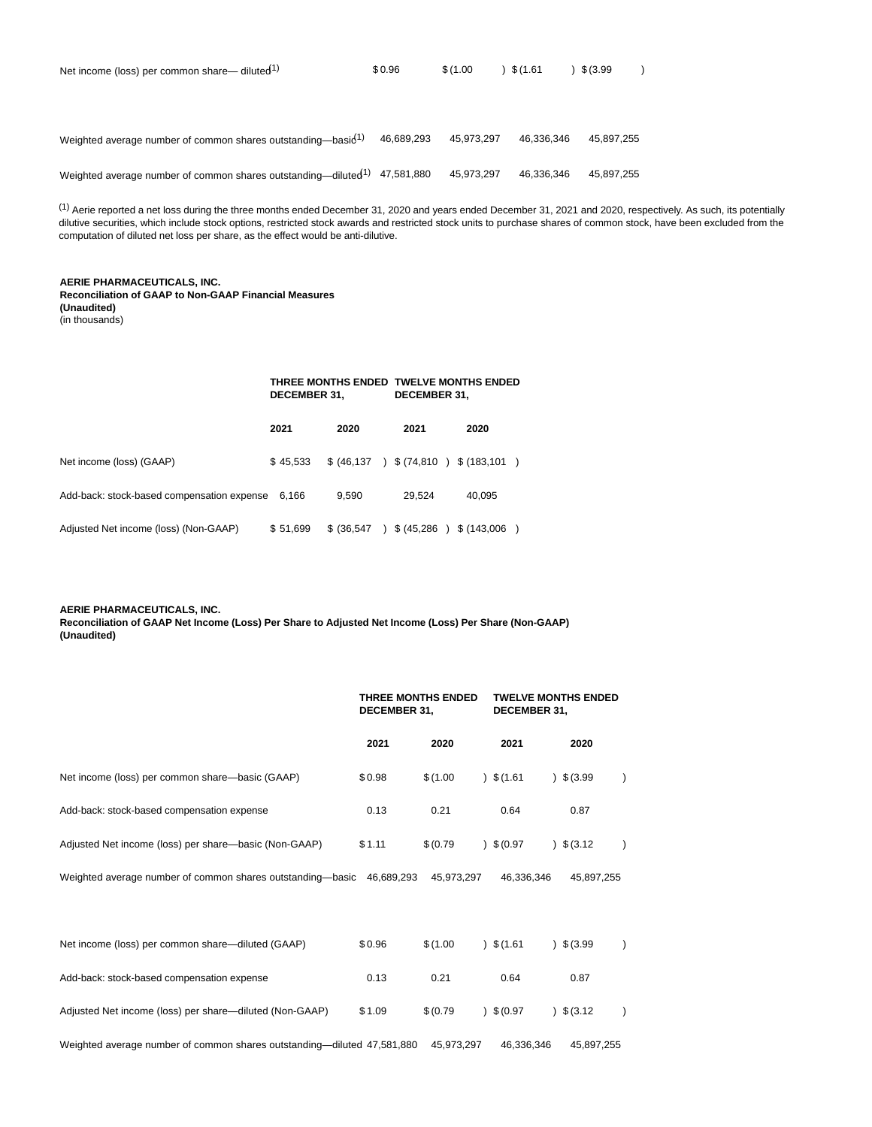| Net income (loss) per common share— diluted <sup>1)</sup>                  | \$0.96     | \$(1.00)   | \$(1.61)   | \$ (3.99)  |
|----------------------------------------------------------------------------|------------|------------|------------|------------|
|                                                                            |            |            |            |            |
|                                                                            |            |            |            |            |
| Weighted average number of common shares outstanding—basid <sup>1)</sup>   | 46,689,293 | 45.973.297 | 46.336.346 | 45.897.255 |
| Weighted average number of common shares outstanding-diluted <sup>1)</sup> | 47,581,880 | 45,973,297 | 46.336.346 | 45.897.255 |

 $<sup>(1)</sup>$  Aerie reported a net loss during the three months ended December 31, 2020 and years ended December 31, 2021 and 2020, respectively. As such, its potentially</sup> dilutive securities, which include stock options, restricted stock awards and restricted stock units to purchase shares of common stock, have been excluded from the computation of diluted net loss per share, as the effect would be anti-dilutive.

### **AERIE PHARMACEUTICALS, INC.**

**Reconciliation of GAAP to Non-GAAP Financial Measures (Unaudited)**

(in thousands)

#### **THREE MONTHS ENDED TWELVE MONTHS ENDED DECEMBER 31, DECEMBER 31,**

|                                                  | 2021     | 2020        | 2021                                     | 2020   |
|--------------------------------------------------|----------|-------------|------------------------------------------|--------|
| Net income (loss) (GAAP)                         | \$45.533 |             | \$ (46,137 ) \$ (74,810 ) \$ (183,101 )  |        |
| Add-back: stock-based compensation expense 6,166 |          | 9.590       | 29.524                                   | 40.095 |
| Adjusted Net income (loss) (Non-GAAP)            | \$51,699 | \$ (36,547) | $\frac{1}{2}$ \$ (45,286 ) \$ (143,006 ) |        |

### **AERIE PHARMACEUTICALS, INC.**

**Reconciliation of GAAP Net Income (Loss) Per Share to Adjusted Net Income (Loss) Per Share (Non-GAAP) (Unaudited)**

|                                                                         | <b>THREE MONTHS ENDED</b><br>DECEMBER 31, |            | <b>TWELVE MONTHS ENDED</b><br>DECEMBER 31, |            |
|-------------------------------------------------------------------------|-------------------------------------------|------------|--------------------------------------------|------------|
|                                                                         | 2021                                      | 2020       | 2021                                       | 2020       |
| Net income (loss) per common share—basic (GAAP)                         | \$0.98                                    | \$(1.00)   | 3(1.61)                                    | 3.99       |
| Add-back: stock-based compensation expense                              | 0.13                                      | 0.21       | 0.64                                       | 0.87       |
| Adjusted Net income (loss) per share—basic (Non-GAAP)                   | \$1.11                                    | \$ (0.79)  | 9(0.97)                                    | 3.12       |
| Weighted average number of common shares outstanding—basic 46,689,293   |                                           | 45.973.297 | 46.336.346                                 | 45,897,255 |
|                                                                         |                                           |            |                                            |            |
| Net income (loss) per common share-diluted (GAAP)                       | \$0.96                                    | \$(1.00)   | 3(1.61)                                    | 3.99       |
| Add-back: stock-based compensation expense                              | 0.13                                      | 0.21       | 0.64                                       | 0.87       |
| Adjusted Net income (loss) per share-diluted (Non-GAAP)                 | \$1.09                                    | \$ (0.79)  | 9(0.97)                                    | 3.12       |
| Weighted average number of common shares outstanding—diluted 47,581,880 |                                           | 45,973,297 | 46.336.346                                 | 45,897,255 |